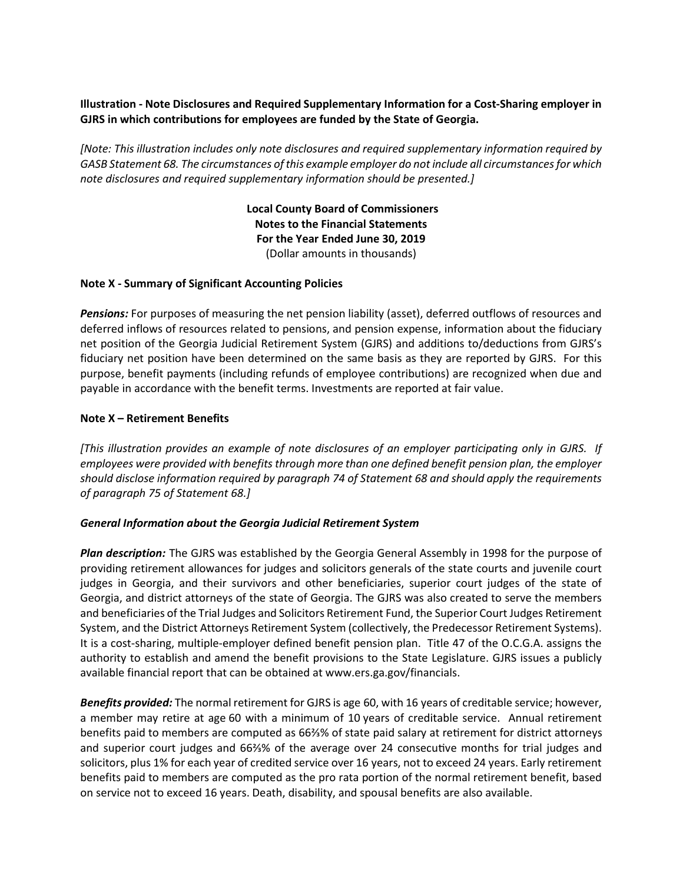# Illustration - Note Disclosures and Required Supplementary Information for a Cost-Sharing employer in GJRS in which contributions for employees are funded by the State of Georgia.

[Note: This illustration includes only note disclosures and required supplementary information required by GASB Statement 68. The circumstances of this example employer do not include all circumstances for which note disclosures and required supplementary information should be presented.]

> Local County Board of Commissioners Notes to the Financial Statements For the Year Ended June 30, 2019 (Dollar amounts in thousands)

### Note X - Summary of Significant Accounting Policies

**Pensions:** For purposes of measuring the net pension liability (asset), deferred outflows of resources and deferred inflows of resources related to pensions, and pension expense, information about the fiduciary net position of the Georgia Judicial Retirement System (GJRS) and additions to/deductions from GJRS's fiduciary net position have been determined on the same basis as they are reported by GJRS. For this purpose, benefit payments (including refunds of employee contributions) are recognized when due and payable in accordance with the benefit terms. Investments are reported at fair value.

### Note X – Retirement Benefits

[This illustration provides an example of note disclosures of an employer participating only in GJRS. If employees were provided with benefits through more than one defined benefit pension plan, the employer should disclose information required by paragraph 74 of Statement 68 and should apply the requirements of paragraph 75 of Statement 68.]

#### General Information about the Georgia Judicial Retirement System

**Plan description:** The GJRS was established by the Georgia General Assembly in 1998 for the purpose of providing retirement allowances for judges and solicitors generals of the state courts and juvenile court judges in Georgia, and their survivors and other beneficiaries, superior court judges of the state of Georgia, and district attorneys of the state of Georgia. The GJRS was also created to serve the members and beneficiaries of the Trial Judges and Solicitors Retirement Fund, the Superior Court Judges Retirement System, and the District Attorneys Retirement System (collectively, the Predecessor Retirement Systems). It is a cost-sharing, multiple-employer defined benefit pension plan. Title 47 of the O.C.G.A. assigns the authority to establish and amend the benefit provisions to the State Legislature. GJRS issues a publicly available financial report that can be obtained at www.ers.ga.gov/financials.

Benefits provided: The normal retirement for GJRS is age 60, with 16 years of creditable service; however, a member may retire at age 60 with a minimum of 10 years of creditable service. Annual retirement benefits paid to members are computed as 66⅔% of state paid salary at retirement for district attorneys and superior court judges and 66⅔% of the average over 24 consecutive months for trial judges and solicitors, plus 1% for each year of credited service over 16 years, not to exceed 24 years. Early retirement benefits paid to members are computed as the pro rata portion of the normal retirement benefit, based on service not to exceed 16 years. Death, disability, and spousal benefits are also available.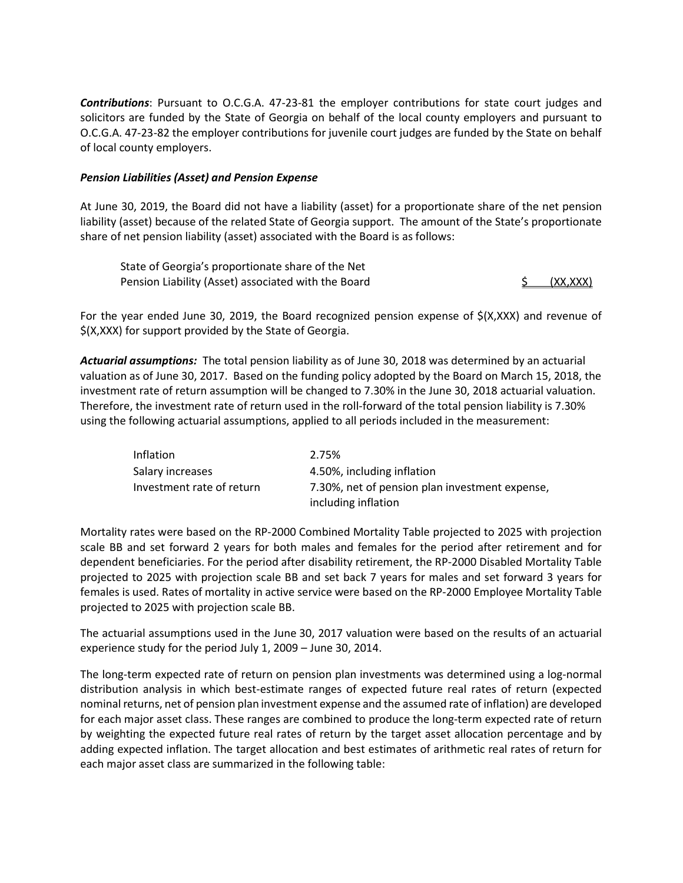Contributions: Pursuant to O.C.G.A. 47-23-81 the employer contributions for state court judges and solicitors are funded by the State of Georgia on behalf of the local county employers and pursuant to O.C.G.A. 47-23-82 the employer contributions for juvenile court judges are funded by the State on behalf of local county employers.

## Pension Liabilities (Asset) and Pension Expense

At June 30, 2019, the Board did not have a liability (asset) for a proportionate share of the net pension liability (asset) because of the related State of Georgia support. The amount of the State's proportionate share of net pension liability (asset) associated with the Board is as follows:

 State of Georgia's proportionate share of the Net Pension Liability (Asset) associated with the Board  $\zeta$  (XX,XXX)

For the year ended June 30, 2019, the Board recognized pension expense of \$(X,XXX) and revenue of \$(X,XXX) for support provided by the State of Georgia.

Actuarial assumptions: The total pension liability as of June 30, 2018 was determined by an actuarial valuation as of June 30, 2017. Based on the funding policy adopted by the Board on March 15, 2018, the investment rate of return assumption will be changed to 7.30% in the June 30, 2018 actuarial valuation. Therefore, the investment rate of return used in the roll-forward of the total pension liability is 7.30% using the following actuarial assumptions, applied to all periods included in the measurement:

| <b>Inflation</b>          | 2.75%                                          |
|---------------------------|------------------------------------------------|
| Salary increases          | 4.50%, including inflation                     |
| Investment rate of return | 7.30%, net of pension plan investment expense, |
|                           | including inflation                            |

Mortality rates were based on the RP-2000 Combined Mortality Table projected to 2025 with projection scale BB and set forward 2 years for both males and females for the period after retirement and for dependent beneficiaries. For the period after disability retirement, the RP-2000 Disabled Mortality Table projected to 2025 with projection scale BB and set back 7 years for males and set forward 3 years for females is used. Rates of mortality in active service were based on the RP-2000 Employee Mortality Table projected to 2025 with projection scale BB.

The actuarial assumptions used in the June 30, 2017 valuation were based on the results of an actuarial experience study for the period July 1, 2009 – June 30, 2014.

The long-term expected rate of return on pension plan investments was determined using a log-normal distribution analysis in which best-estimate ranges of expected future real rates of return (expected nominal returns, net of pension plan investment expense and the assumed rate of inflation) are developed for each major asset class. These ranges are combined to produce the long-term expected rate of return by weighting the expected future real rates of return by the target asset allocation percentage and by adding expected inflation. The target allocation and best estimates of arithmetic real rates of return for each major asset class are summarized in the following table: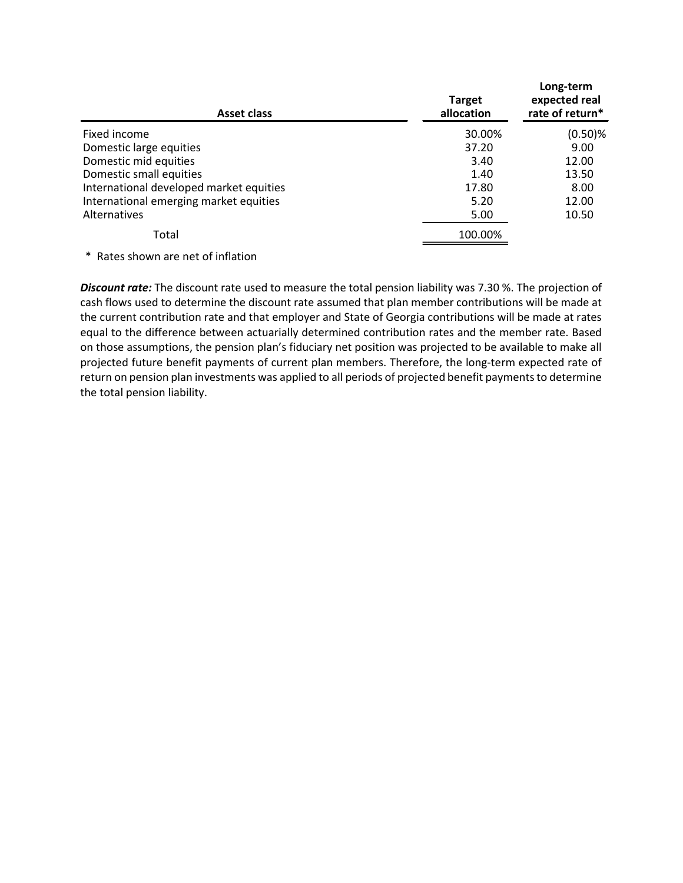|                                         | <b>Target</b> | Long-term<br>expected real |
|-----------------------------------------|---------------|----------------------------|
| <b>Asset class</b>                      | allocation    | rate of return*            |
| Fixed income                            | 30.00%        | $(0.50)$ %                 |
| Domestic large equities                 | 37.20         | 9.00                       |
| Domestic mid equities                   | 3.40          | 12.00                      |
| Domestic small equities                 | 1.40          | 13.50                      |
| International developed market equities | 17.80         | 8.00                       |
| International emerging market equities  | 5.20          | 12.00                      |
|                                         |               | 10.50                      |
| Alternatives                            | 5.00          |                            |
| Total                                   | 100.00%       |                            |

Discount rate: The discount rate used to measure the total pension liability was 7.30 %. The projection of cash flows used to determine the discount rate assumed that plan member contributions will be made at the current contribution rate and that employer and State of Georgia contributions will be made at rates equal to the difference between actuarially determined contribution rates and the member rate. Based on those assumptions, the pension plan's fiduciary net position was projected to be available to make all projected future benefit payments of current plan members. Therefore, the long-term expected rate of return on pension plan investments was applied to all periods of projected benefit payments to determine the total pension liability.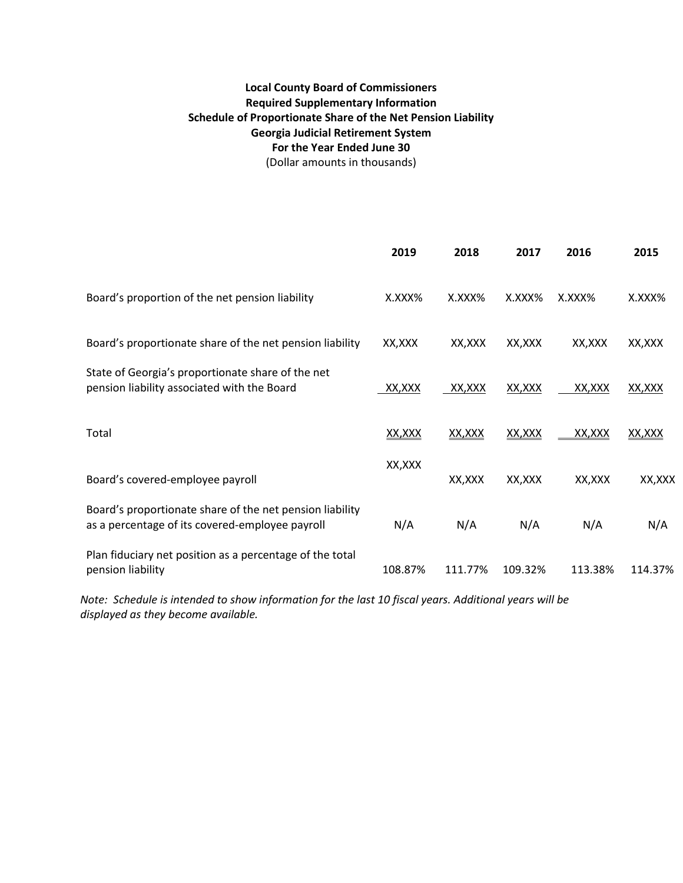# Local County Board of Commissioners Required Supplementary Information Schedule of Proportionate Share of the Net Pension Liability Georgia Judicial Retirement System For the Year Ended June 30 (Dollar amounts in thousands)

|                                                                                                             | 2019    | 2018    | 2017    | 2016      | 2015    |
|-------------------------------------------------------------------------------------------------------------|---------|---------|---------|-----------|---------|
| Board's proportion of the net pension liability                                                             | X.XXX%  | X.XXX%  | X.XXX%  | $X.XXX\%$ | X.XXX%  |
| Board's proportionate share of the net pension liability                                                    | XX, XXX | XX, XXX | XX, XXX | XX, XXX   | XX, XXX |
| State of Georgia's proportionate share of the net<br>pension liability associated with the Board            | XX, XXX | XX, XXX | XX, XXX | XX, XXX   | XX, XXX |
| Total                                                                                                       | XX, XXX | XX, XXX | XX, XXX | XX, XXX   | XX, XXX |
| Board's covered-employee payroll                                                                            | XX, XXX | XX, XXX | XX,XXX  | XX,XXX    | XX,XXX  |
| Board's proportionate share of the net pension liability<br>as a percentage of its covered-employee payroll | N/A     | N/A     | N/A     | N/A       | N/A     |
| Plan fiduciary net position as a percentage of the total<br>pension liability                               | 108.87% | 111.77% | 109.32% | 113.38%   | 114.37% |

Note: Schedule is intended to show information for the last 10 fiscal years. Additional years will be displayed as they become available.